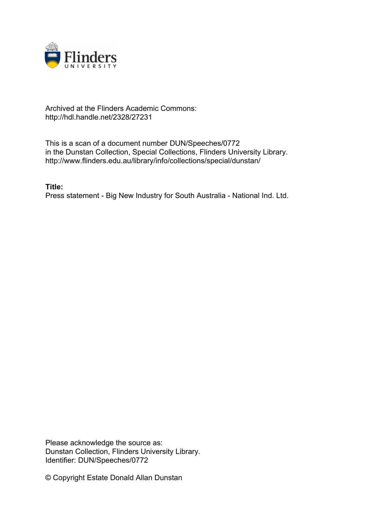

## Archived at the Flinders Academic Commons: http://hdl.handle.net/2328/27231

This is a scan of a document number DUN/Speeches/0772 in the Dunstan Collection, Special Collections, Flinders University Library. http://www.flinders.edu.au/library/info/collections/special/dunstan/

**Title:** Press statement - Big New Industry for South Australia - National Ind. Ltd.

Please acknowledge the source as: Dunstan Collection, Flinders University Library. Identifier: DUN/Speeches/0772

© Copyright Estate Donald Allan Dunstan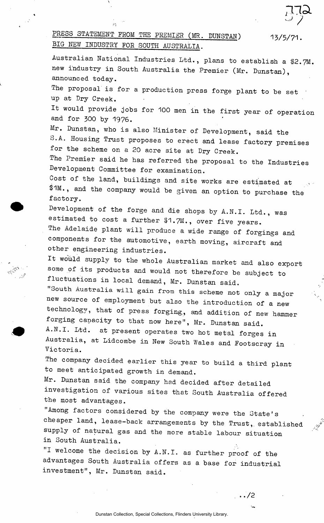## PRESS STATEMENT FROM THE PREMIER (MR. DUNSTAN) 13/5/71. BIG NEW INDUSTRY FOR SOUTH AUSTRALIA.

 $\overline{C}$ 

Australian National Industries Ltd., plans to establish a #2.7M. new industry in South Australia the Premier (Mr. Dunstan), announced today. The proposal is for a production press forge plant to be set up at Dry Creek. It would provide jobs for 100 men in the first year of operation and for 300 by 1976. Mr. Dunstan, who is also Minister of Development, said the S.A. Housing Trust proposes to erect and lease factory premises for the scheme on a 20 acre site at Dry Creek. The Premier said he has referred the proposal to the Industries Development Committee for examination. Cost of the land, buildings and site works are estimated at \$1M., and the company would be given an option to purchase the factory. Development of the forge and die shops by A.N.I. Ltd., was estimated to cost a further  $#1.7M.$ , over five years. The Adelaide plant will produce a wide range of forgings and components for the automotive, earth moving, aircraft and other engineering industries. It would supply to the whole Australian market and also export some of its products and would not therefore be subject to fluctuations in local demand, Mr. Dunstan said. "South Australia will gain from this scheme not only a major new source of employment but also the introduction of a new technology, that of press forging,, and addition of new hammer forging capacity to that now here", Mr. Dunstan said. A.N.I. Ltd. at present operates two hot metal forges in Australia, at Lidcombe in New South Wales and Footscray in Victoria. The company decided earlier this year to build a third plant to meet anticipated growth in demand. Mr. Dunstan said the company had decided after detailed investigation of various sites that South Australia offered the most advantages. "Among factors considered by the company were the State's cheaper land, lease-back arrangements by the Trust, established supply of natural gas and the more stable labour situation in South Australia. "I welcome the decision by A.N.I, as further proof of the advantages South Australia offers as a base for industrial investment", Mr. Dunstan said.

Dunstan Collection, Special Collections, Flinders University Library.

**.. /2**